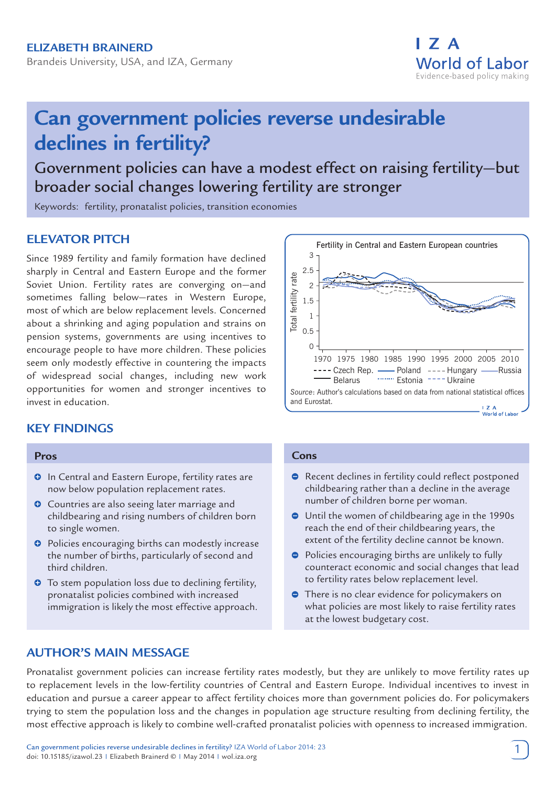

# **Can government policies reverse undesirable declines in fertility?**

Government policies can have a modest effect on raising fertility—but broader social changes lowering fertility are stronger

Keywords: fertility, pronatalist policies, transition economies

# **ELEVATOR PITCH**

Since 1989 fertility and family formation have declined sharply in Central and Eastern Europe and the former Soviet Union. Fertility rates are converging on—and sometimes falling below—rates in Western Europe, most of which are below replacement levels. Concerned about a shrinking and aging population and strains on pension systems, governments are using incentives to encourage people to have more children. These policies seem only modestly effective in countering the impacts of widespread social changes, including new work opportunities for women and stronger incentives to invest in education.

# **KEY FINDINGS**

#### **Pros**

- **O** In Central and Eastern Europe, fertility rates are now below population replacement rates.
- **O** Countries are also seeing later marriage and childbearing and rising numbers of children born to single women.
- $\bullet$  Policies encouraging births can modestly increase the number of births, particularly of second and third children.
- **•** To stem population loss due to declining fertility, pronatalist policies combined with increased immigration is likely the most effective approach.



#### **Cons**

- **•** Recent declines in fertility could reflect postponed childbearing rather than a decline in the average number of children borne per woman.
- Until the women of childbearing age in the 1990s reach the end of their childbearing years, the extent of the fertility decline cannot be known.
- **•** Policies encouraging births are unlikely to fully counteract economic and social changes that lead to fertility rates below replacement level.
- **•** There is no clear evidence for policymakers on what policies are most likely to raise fertility rates at the lowest budgetary cost.

# **AUTHOR'S MAIN MESSAGE**

Pronatalist government policies can increase fertility rates modestly, but they are unlikely to move fertility rates up to replacement levels in the low-fertility countries of Central and Eastern Europe. Individual incentives to invest in education and pursue a career appear to affect fertility choices more than government policies do. For policymakers trying to stem the population loss and the changes in population age structure resulting from declining fertility, the most effective approach is likely to combine well-crafted pronatalist policies with openness to increased immigration.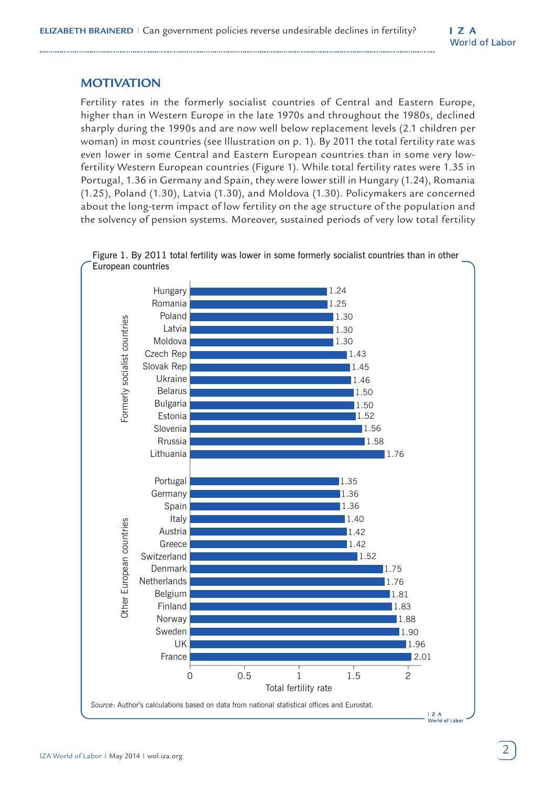# **MOTIVATION**

Fertility rates in the formerly socialist countries of Central and Eastern Europe, higher than in Western Europe in the late 1970s and throughout the 1980s, declined sharply during the 1990s and are now well below replacement levels (2.1 children per woman) in most countries (see Illustration on p. 1). By 2011 the total fertility rate was even lower in some Central and Eastern European countries than in some very lowfertility Western European countries (Figure 1). While total fertility rates were 1.35 in Portugal, 1.36 in Germany and Spain, they were lower still in Hungary (1.24), Romania (1.25), Poland (1.30), Latvia (1.30), and Moldova (1.30). Policymakers are concerned about the long-term impact of low fertility on the age structure of the population and the solvency of pension systems. Moreover, sustained periods of very low total fertility



Figure 1. By 2011 total fertility was lower in some formerly socialist countries than in other European countries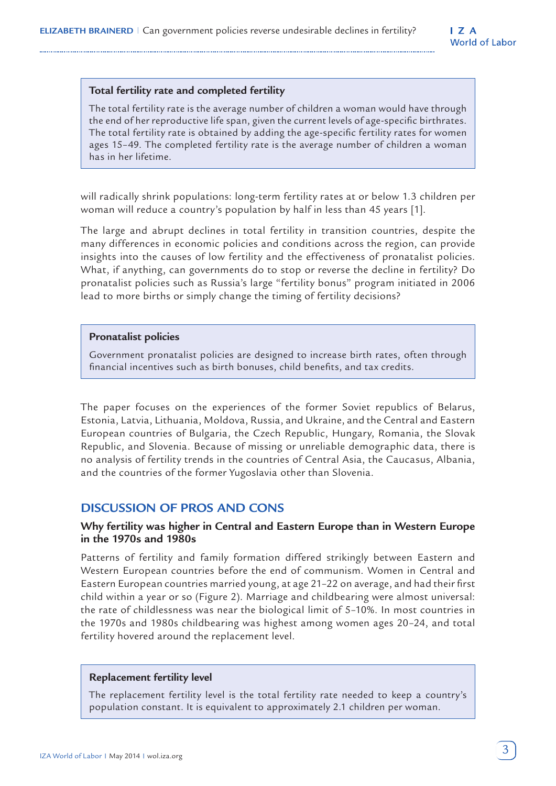#### **Total fertility rate and completed fertility**

The total fertility rate is the average number of children a woman would have through the end of her reproductive life span, given the current levels of age-specific birthrates. The total fertility rate is obtained by adding the age-specific fertility rates for women ages 15–49. The completed fertility rate is the average number of children a woman has in her lifetime.

will radically shrink populations: long-term fertility rates at or below 1.3 children per woman will reduce a country's population by half in less than 45 years [1].

The large and abrupt declines in total fertility in transition countries, despite the many differences in economic policies and conditions across the region, can provide insights into the causes of low fertility and the effectiveness of pronatalist policies. What, if anything, can governments do to stop or reverse the decline in fertility? Do pronatalist policies such as Russia's large "fertility bonus" program initiated in 2006 lead to more births or simply change the timing of fertility decisions?

#### **Pronatalist policies**

Government pronatalist policies are designed to increase birth rates, often through financial incentives such as birth bonuses, child benefits, and tax credits.

The paper focuses on the experiences of the former Soviet republics of Belarus, Estonia, Latvia, Lithuania, Moldova, Russia, and Ukraine, and the Central and Eastern European countries of Bulgaria, the Czech Republic, Hungary, Romania, the Slovak Republic, and Slovenia. Because of missing or unreliable demographic data, there is no analysis of fertility trends in the countries of Central Asia, the Caucasus, Albania, and the countries of the former Yugoslavia other than Slovenia.

# **DISCUSSION OF PROS AND CONS**

## **Why fertility was higher in Central and Eastern Europe than in Western Europe in the 1970s and 1980s**

Patterns of fertility and family formation differed strikingly between Eastern and Western European countries before the end of communism. Women in Central and Eastern European countries married young, at age 21–22 on average, and had their first child within a year or so (Figure 2). Marriage and childbearing were almost universal: the rate of childlessness was near the biological limit of 5–10%. In most countries in the 1970s and 1980s childbearing was highest among women ages 20–24, and total fertility hovered around the replacement level.

#### **Replacement fertility level**

The replacement fertility level is the total fertility rate needed to keep a country's population constant. It is equivalent to approximately 2.1 children per woman.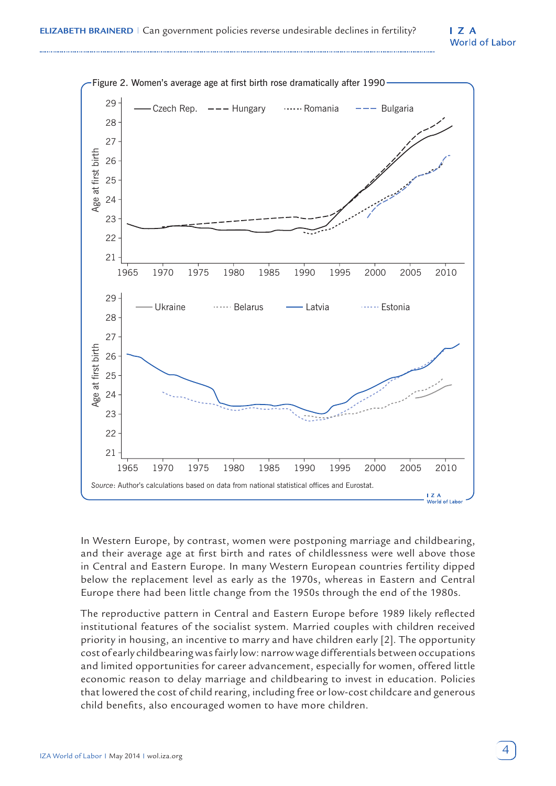#### $I Z A$ **World of Labor**



In Western Europe, by contrast, women were postponing marriage and childbearing, and their average age at first birth and rates of childlessness were well above those in Central and Eastern Europe. In many Western European countries fertility dipped below the replacement level as early as the 1970s, whereas in Eastern and Central Europe there had been little change from the 1950s through the end of the 1980s.

The reproductive pattern in Central and Eastern Europe before 1989 likely reflected institutional features of the socialist system. Married couples with children received priority in housing, an incentive to marry and have children early [2]. The opportunity cost of early childbearing was fairly low: narrow wage differentials between occupations and limited opportunities for career advancement, especially for women, offered little economic reason to delay marriage and childbearing to invest in education. Policies that lowered the cost of child rearing, including free or low-cost childcare and generous child benefits, also encouraged women to have more children.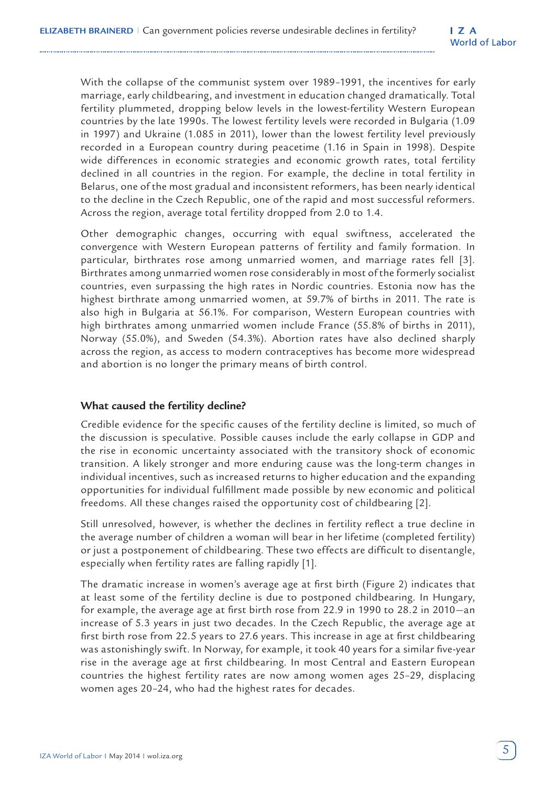With the collapse of the communist system over 1989–1991, the incentives for early marriage, early childbearing, and investment in education changed dramatically. Total fertility plummeted, dropping below levels in the lowest-fertility Western European countries by the late 1990s. The lowest fertility levels were recorded in Bulgaria (1.09 in 1997) and Ukraine (1.085 in 2011), lower than the lowest fertility level previously recorded in a European country during peacetime (1.16 in Spain in 1998). Despite wide differences in economic strategies and economic growth rates, total fertility declined in all countries in the region. For example, the decline in total fertility in Belarus, one of the most gradual and inconsistent reformers, has been nearly identical to the decline in the Czech Republic, one of the rapid and most successful reformers. Across the region, average total fertility dropped from 2.0 to 1.4.

Other demographic changes, occurring with equal swiftness, accelerated the convergence with Western European patterns of fertility and family formation. In particular, birthrates rose among unmarried women, and marriage rates fell [3]. Birthrates among unmarried women rose considerably in most of the formerly socialist countries, even surpassing the high rates in Nordic countries. Estonia now has the highest birthrate among unmarried women, at 59.7% of births in 2011. The rate is also high in Bulgaria at 56.1%. For comparison, Western European countries with high birthrates among unmarried women include France (55.8% of births in 2011), Norway (55.0%), and Sweden (54.3%). Abortion rates have also declined sharply across the region, as access to modern contraceptives has become more widespread and abortion is no longer the primary means of birth control.

#### **What caused the fertility decline?**

Credible evidence for the specific causes of the fertility decline is limited, so much of the discussion is speculative. Possible causes include the early collapse in GDP and the rise in economic uncertainty associated with the transitory shock of economic transition. A likely stronger and more enduring cause was the long-term changes in individual incentives, such as increased returns to higher education and the expanding opportunities for individual fulfillment made possible by new economic and political freedoms. All these changes raised the opportunity cost of childbearing [2].

Still unresolved, however, is whether the declines in fertility reflect a true decline in the average number of children a woman will bear in her lifetime (completed fertility) or just a postponement of childbearing. These two effects are difficult to disentangle, especially when fertility rates are falling rapidly [1].

The dramatic increase in women's average age at first birth (Figure 2) indicates that at least some of the fertility decline is due to postponed childbearing. In Hungary, for example, the average age at first birth rose from 22.9 in 1990 to 28.2 in 2010—an increase of 5.3 years in just two decades. In the Czech Republic, the average age at first birth rose from 22.5 years to 27.6 years. This increase in age at first childbearing was astonishingly swift. In Norway, for example, it took 40 years for a similar five-year rise in the average age at first childbearing. In most Central and Eastern European countries the highest fertility rates are now among women ages 25–29, displacing women ages 20–24, who had the highest rates for decades.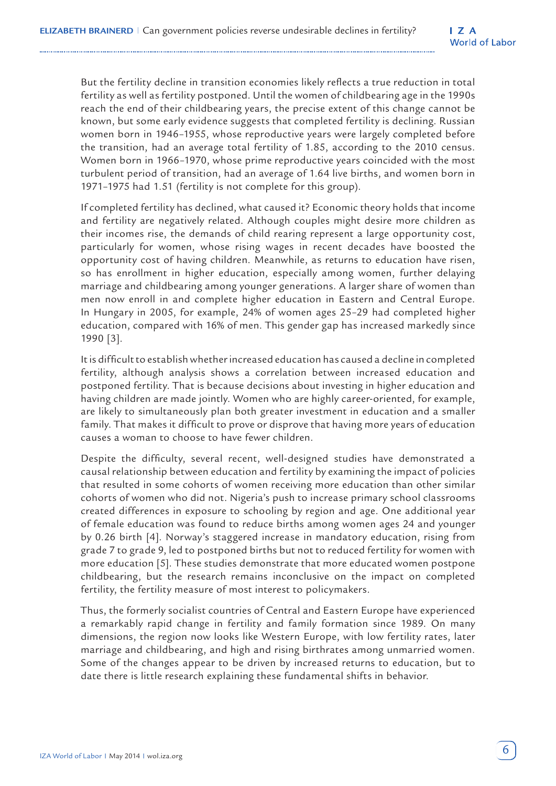But the fertility decline in transition economies likely reflects a true reduction in total fertility as well as fertility postponed. Until the women of childbearing age in the 1990s reach the end of their childbearing years, the precise extent of this change cannot be known, but some early evidence suggests that completed fertility is declining. Russian women born in 1946–1955, whose reproductive years were largely completed before the transition, had an average total fertility of 1.85, according to the 2010 census. Women born in 1966–1970, whose prime reproductive years coincided with the most turbulent period of transition, had an average of 1.64 live births, and women born in 1971–1975 had 1.51 (fertility is not complete for this group).

If completed fertility has declined, what caused it? Economic theory holds that income and fertility are negatively related. Although couples might desire more children as their incomes rise, the demands of child rearing represent a large opportunity cost, particularly for women, whose rising wages in recent decades have boosted the opportunity cost of having children. Meanwhile, as returns to education have risen, so has enrollment in higher education, especially among women, further delaying marriage and childbearing among younger generations. A larger share of women than men now enroll in and complete higher education in Eastern and Central Europe. In Hungary in 2005, for example, 24% of women ages 25–29 had completed higher education, compared with 16% of men. This gender gap has increased markedly since 1990 [3].

It is difficult to establish whether increased education has caused a decline in completed fertility, although analysis shows a correlation between increased education and postponed fertility. That is because decisions about investing in higher education and having children are made jointly. Women who are highly career-oriented, for example, are likely to simultaneously plan both greater investment in education and a smaller family. That makes it difficult to prove or disprove that having more years of education causes a woman to choose to have fewer children.

Despite the difficulty, several recent, well-designed studies have demonstrated a causal relationship between education and fertility by examining the impact of policies that resulted in some cohorts of women receiving more education than other similar cohorts of women who did not. Nigeria's push to increase primary school classrooms created differences in exposure to schooling by region and age. One additional year of female education was found to reduce births among women ages 24 and younger by 0.26 birth [4]. Norway's staggered increase in mandatory education, rising from grade 7 to grade 9, led to postponed births but not to reduced fertility for women with more education [5]. These studies demonstrate that more educated women postpone childbearing, but the research remains inconclusive on the impact on completed fertility, the fertility measure of most interest to policymakers.

Thus, the formerly socialist countries of Central and Eastern Europe have experienced a remarkably rapid change in fertility and family formation since 1989. On many dimensions, the region now looks like Western Europe, with low fertility rates, later marriage and childbearing, and high and rising birthrates among unmarried women. Some of the changes appear to be driven by increased returns to education, but to date there is little research explaining these fundamental shifts in behavior.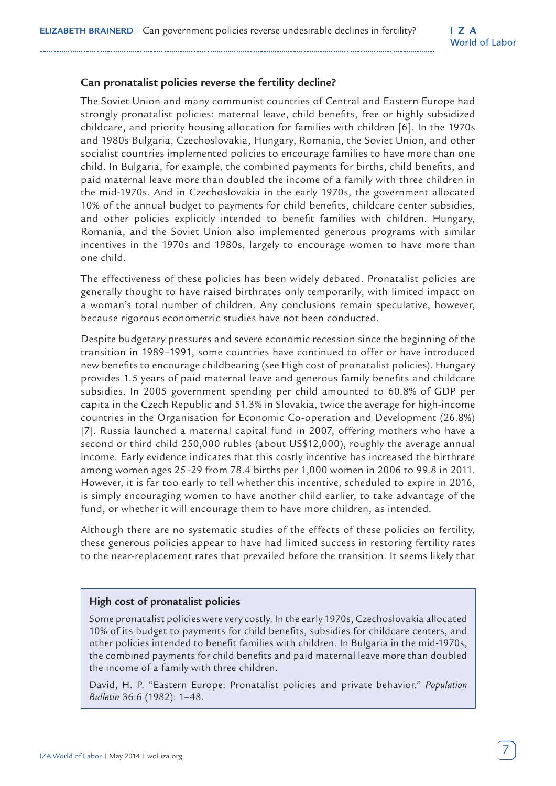## **Can pronatalist policies reverse the fertility decline?**

The Soviet Union and many communist countries of Central and Eastern Europe had strongly pronatalist policies: maternal leave, child benefits, free or highly subsidized childcare, and priority housing allocation for families with children [6]. In the 1970s and 1980s Bulgaria, Czechoslovakia, Hungary, Romania, the Soviet Union, and other socialist countries implemented policies to encourage families to have more than one child. In Bulgaria, for example, the combined payments for births, child benefits, and paid maternal leave more than doubled the income of a family with three children in the mid-1970s. And in Czechoslovakia in the early 1970s, the government allocated 10% of the annual budget to payments for child benefits, childcare center subsidies, and other policies explicitly intended to benefit families with children. Hungary, Romania, and the Soviet Union also implemented generous programs with similar incentives in the 1970s and 1980s, largely to encourage women to have more than one child.

The effectiveness of these policies has been widely debated. Pronatalist policies are generally thought to have raised birthrates only temporarily, with limited impact on a woman's total number of children. Any conclusions remain speculative, however, because rigorous econometric studies have not been conducted.

Despite budgetary pressures and severe economic recession since the beginning of the transition in 1989–1991, some countries have continued to offer or have introduced new benefits to encourage childbearing (see High cost of pronatalist policies). Hungary provides 1.5 years of paid maternal leave and generous family benefits and childcare subsidies. In 2005 government spending per child amounted to 60.8% of GDP per capita in the Czech Republic and 51.3% in Slovakia, twice the average for high-income countries in the Organisation for Economic Co-operation and Development (26.8%) [7]. Russia launched a maternal capital fund in 2007, offering mothers who have a second or third child 250,000 rubles (about US\$12,000), roughly the average annual income. Early evidence indicates that this costly incentive has increased the birthrate among women ages 25–29 from 78.4 births per 1,000 women in 2006 to 99.8 in 2011. However, it is far too early to tell whether this incentive, scheduled to expire in 2016, is simply encouraging women to have another child earlier, to take advantage of the fund, or whether it will encourage them to have more children, as intended.

Although there are no systematic studies of the effects of these policies on fertility, these generous policies appear to have had limited success in restoring fertility rates to the near-replacement rates that prevailed before the transition. It seems likely that

#### **High cost of pronatalist policies**

Some pronatalist policies were very costly. In the early 1970s, Czechoslovakia allocated 10% of its budget to payments for child benefits, subsidies for childcare centers, and other policies intended to benefit families with children. In Bulgaria in the mid-1970s, the combined payments for child benefits and paid maternal leave more than doubled the income of a family with three children.

David, H. P. "Eastern Europe: Pronatalist policies and private behavior." *Population Bulletin* 36:6 (1982): 1–48.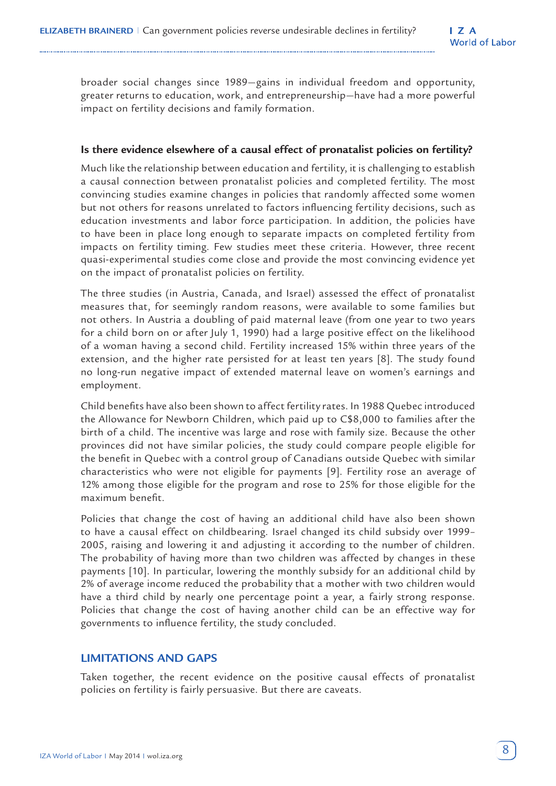broader social changes since 1989—gains in individual freedom and opportunity, greater returns to education, work, and entrepreneurship—have had a more powerful impact on fertility decisions and family formation.

## **Is there evidence elsewhere of a causal effect of pronatalist policies on fertility?**

Much like the relationship between education and fertility, it is challenging to establish a causal connection between pronatalist policies and completed fertility. The most convincing studies examine changes in policies that randomly affected some women but not others for reasons unrelated to factors influencing fertility decisions, such as education investments and labor force participation. In addition, the policies have to have been in place long enough to separate impacts on completed fertility from impacts on fertility timing. Few studies meet these criteria. However, three recent quasi-experimental studies come close and provide the most convincing evidence yet on the impact of pronatalist policies on fertility.

The three studies (in Austria, Canada, and Israel) assessed the effect of pronatalist measures that, for seemingly random reasons, were available to some families but not others. In Austria a doubling of paid maternal leave (from one year to two years for a child born on or after July 1, 1990) had a large positive effect on the likelihood of a woman having a second child. Fertility increased 15% within three years of the extension, and the higher rate persisted for at least ten years [8]. The study found no long-run negative impact of extended maternal leave on women's earnings and employment.

Child benefits have also been shown to affect fertility rates. In 1988 Quebec introduced the Allowance for Newborn Children, which paid up to C\$8,000 to families after the birth of a child. The incentive was large and rose with family size. Because the other provinces did not have similar policies, the study could compare people eligible for the benefit in Quebec with a control group of Canadians outside Quebec with similar characteristics who were not eligible for payments [9]. Fertility rose an average of 12% among those eligible for the program and rose to 25% for those eligible for the maximum benefit.

Policies that change the cost of having an additional child have also been shown to have a causal effect on childbearing. Israel changed its child subsidy over 1999– 2005, raising and lowering it and adjusting it according to the number of children. The probability of having more than two children was affected by changes in these payments [10]. In particular, lowering the monthly subsidy for an additional child by 2% of average income reduced the probability that a mother with two children would have a third child by nearly one percentage point a year, a fairly strong response. Policies that change the cost of having another child can be an effective way for governments to influence fertility, the study concluded.

# **LIMITATIONS AND GAPS**

Taken together, the recent evidence on the positive causal effects of pronatalist policies on fertility is fairly persuasive. But there are caveats.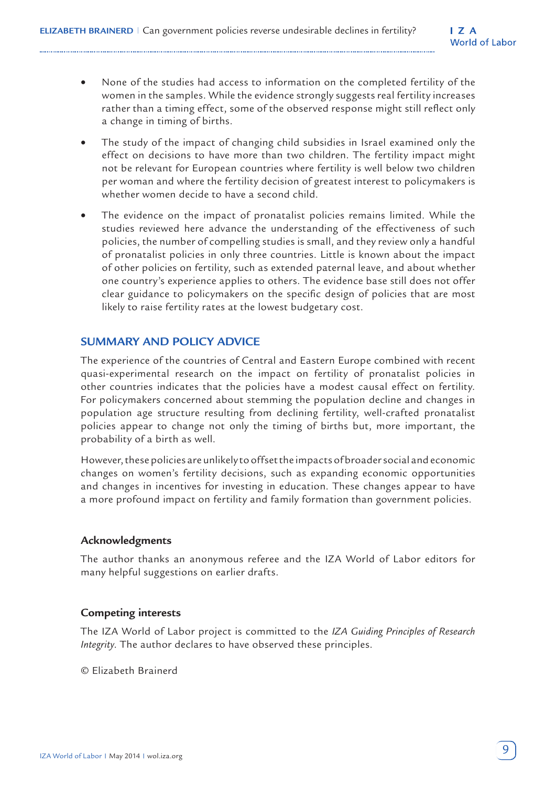- None of the studies had access to information on the completed fertility of the women in the samples. While the evidence strongly suggests real fertility increases rather than a timing effect, some of the observed response might still reflect only a change in timing of births.
- The study of the impact of changing child subsidies in Israel examined only the effect on decisions to have more than two children. The fertility impact might not be relevant for European countries where fertility is well below two children per woman and where the fertility decision of greatest interest to policymakers is whether women decide to have a second child.
- The evidence on the impact of pronatalist policies remains limited. While the studies reviewed here advance the understanding of the effectiveness of such policies, the number of compelling studies is small, and they review only a handful of pronatalist policies in only three countries. Little is known about the impact of other policies on fertility, such as extended paternal leave, and about whether one country's experience applies to others. The evidence base still does not offer clear guidance to policymakers on the specific design of policies that are most likely to raise fertility rates at the lowest budgetary cost.

# **SUMMARY AND POLICY ADVICE**

The experience of the countries of Central and Eastern Europe combined with recent quasi-experimental research on the impact on fertility of pronatalist policies in other countries indicates that the policies have a modest causal effect on fertility. For policymakers concerned about stemming the population decline and changes in population age structure resulting from declining fertility, well-crafted pronatalist policies appear to change not only the timing of births but, more important, the probability of a birth as well.

However, these policies are unlikely to offset the impacts of broader social and economic changes on women's fertility decisions, such as expanding economic opportunities and changes in incentives for investing in education. These changes appear to have a more profound impact on fertility and family formation than government policies.

## **Acknowledgments**

The author thanks an anonymous referee and the IZA World of Labor editors for many helpful suggestions on earlier drafts.

## **Competing interests**

The IZA World of Labor project is committed to the *IZA Guiding Principles of Research Integrity*. The author declares to have observed these principles.

© Elizabeth Brainerd